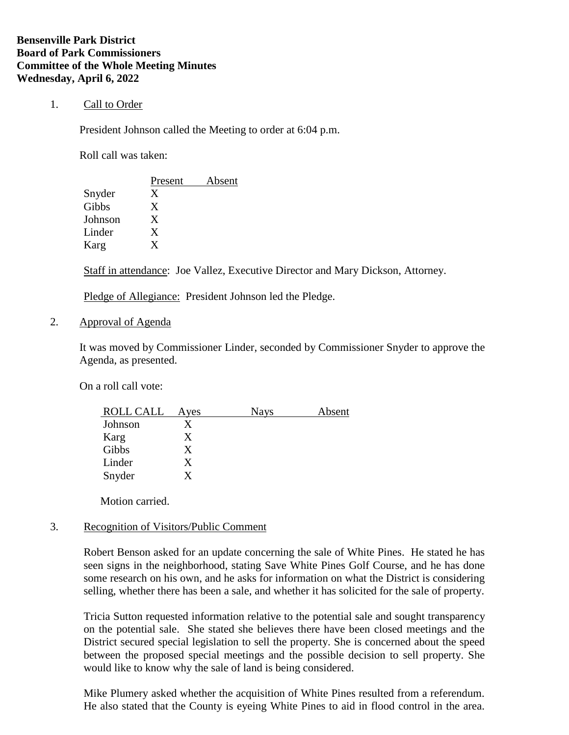# 1. Call to Order

President Johnson called the Meeting to order at 6:04 p.m.

Roll call was taken:

|         | Present | Absent |
|---------|---------|--------|
| Snyder  | X       |        |
| Gibbs   | X       |        |
| Johnson | X       |        |
| Linder  | X       |        |
| Karg    | Y       |        |

Staff in attendance: Joe Vallez, Executive Director and Mary Dickson, Attorney.

Pledge of Allegiance: President Johnson led the Pledge.

2. Approval of Agenda

It was moved by Commissioner Linder, seconded by Commissioner Snyder to approve the Agenda, as presented.

On a roll call vote:

| ROLL CALL | Ayes | <b>Nays</b> | Absent |
|-----------|------|-------------|--------|
| Johnson   | X    |             |        |
| Karg      | X    |             |        |
| Gibbs     | X    |             |        |
| Linder    | X    |             |        |
| Snyder    | X    |             |        |

Motion carried.

# 3. Recognition of Visitors/Public Comment

Robert Benson asked for an update concerning the sale of White Pines. He stated he has seen signs in the neighborhood, stating Save White Pines Golf Course, and he has done some research on his own, and he asks for information on what the District is considering selling, whether there has been a sale, and whether it has solicited for the sale of property.

Tricia Sutton requested information relative to the potential sale and sought transparency on the potential sale. She stated she believes there have been closed meetings and the District secured special legislation to sell the property. She is concerned about the speed between the proposed special meetings and the possible decision to sell property. She would like to know why the sale of land is being considered.

Mike Plumery asked whether the acquisition of White Pines resulted from a referendum. He also stated that the County is eyeing White Pines to aid in flood control in the area.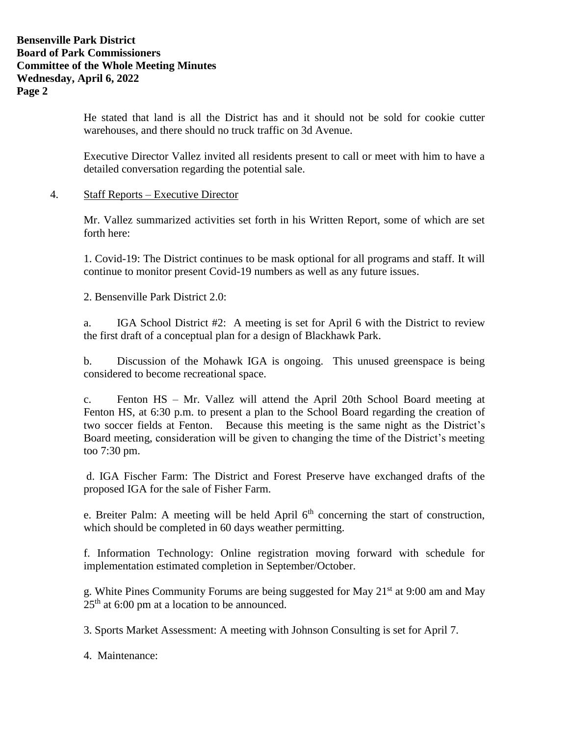# **Bensenville Park District Board of Park Commissioners Committee of the Whole Meeting Minutes Wednesday, April 6, 2022 Page 2**

He stated that land is all the District has and it should not be sold for cookie cutter warehouses, and there should no truck traffic on 3d Avenue.

Executive Director Vallez invited all residents present to call or meet with him to have a detailed conversation regarding the potential sale.

# 4. Staff Reports – Executive Director

Mr. Vallez summarized activities set forth in his Written Report, some of which are set forth here:

1. Covid-19: The District continues to be mask optional for all programs and staff. It will continue to monitor present Covid-19 numbers as well as any future issues.

2. Bensenville Park District 2.0:

a. IGA School District #2: A meeting is set for April 6 with the District to review the first draft of a conceptual plan for a design of Blackhawk Park.

b. Discussion of the Mohawk IGA is ongoing. This unused greenspace is being considered to become recreational space.

c. Fenton HS – Mr. Vallez will attend the April 20th School Board meeting at Fenton HS, at 6:30 p.m. to present a plan to the School Board regarding the creation of two soccer fields at Fenton. Because this meeting is the same night as the District's Board meeting, consideration will be given to changing the time of the District's meeting too 7:30 pm.

d. IGA Fischer Farm: The District and Forest Preserve have exchanged drafts of the proposed IGA for the sale of Fisher Farm.

e. Breiter Palm: A meeting will be held April  $6<sup>th</sup>$  concerning the start of construction, which should be completed in 60 days weather permitting.

f. Information Technology: Online registration moving forward with schedule for implementation estimated completion in September/October.

g. White Pines Community Forums are being suggested for May 21st at 9:00 am and May  $25<sup>th</sup>$  at 6:00 pm at a location to be announced.

3. Sports Market Assessment: A meeting with Johnson Consulting is set for April 7.

4. Maintenance: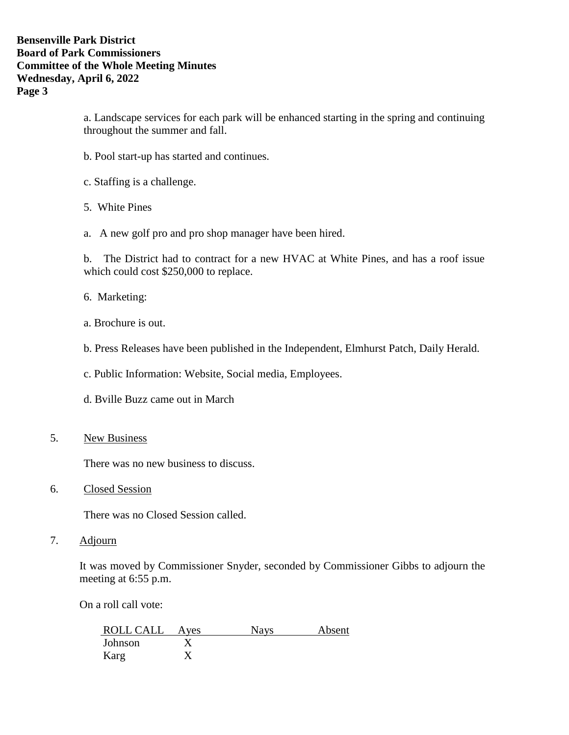a. Landscape services for each park will be enhanced starting in the spring and continuing throughout the summer and fall.

- b. Pool start-up has started and continues.
- c. Staffing is a challenge.
- 5. White Pines
- a. A new golf pro and pro shop manager have been hired.

b. The District had to contract for a new HVAC at White Pines, and has a roof issue which could cost \$250,000 to replace.

- 6. Marketing:
- a. Brochure is out.
- b. Press Releases have been published in the Independent, Elmhurst Patch, Daily Herald.
- c. Public Information: Website, Social media, Employees.
- d. Bville Buzz came out in March
- 5. New Business

There was no new business to discuss.

6. Closed Session

There was no Closed Session called.

7. Adjourn

It was moved by Commissioner Snyder, seconded by Commissioner Gibbs to adjourn the meeting at 6:55 p.m.

On a roll call vote:

| ROLL CALL | Ayes | <b>Nays</b> | Absent |
|-----------|------|-------------|--------|
| Johnson   |      |             |        |
| Karg      |      |             |        |